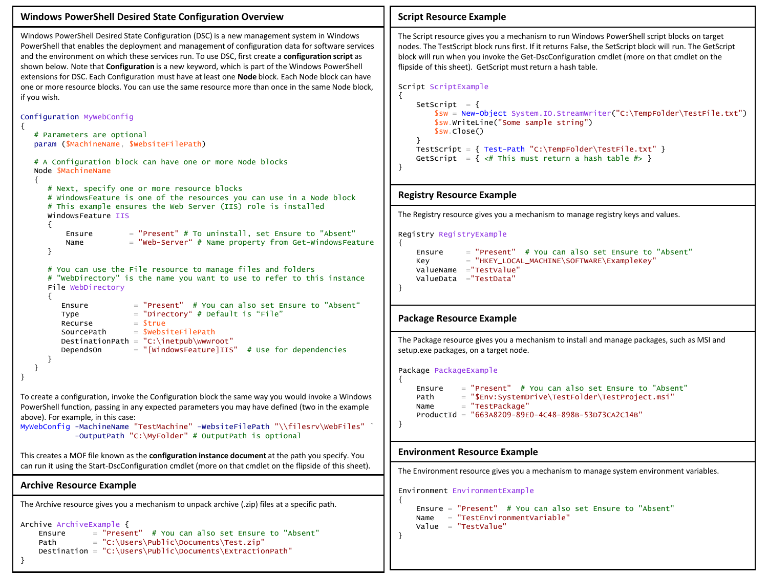```
Windows PowerShell Desired State Configuration Overview
Windows PowerShell Desired State Configuration (DSC) is a new management system in Windows 
PowerShell that enables the deployment and management of configuration data for software services 
and the environment on which these services run. To use DSC, first create a configuration script as 
shown below. Note that Configuration is a new keyword, which is part of the Windows PowerShell 
extensions for DSC. Each Configuration must have at least one Node block. Each Node block can have 
one or more resource blocks. You can use the same resource more than once in the same Node block, 
if you wish.
Configuration MyWebConfig
{
    # Parameters are optional
    param ($MachineName, $WebsiteFilePath)
    # A Configuration block can have one or more Node blocks
    Node $MachineName
    {
       # Next, specify one or more resource blocks
       # WindowsFeature is one of the resources you can use in a Node block
       # This example ensures the Web Server (IIS) role is installed
       WindowsFeature IIS
       {
          Ensure = "Present" # To uninstall, set Ensure to "Absent"
          Name = "Web-Server" # Name property from Get-WindowsFeature
       }
       # You can use the File resource to manage files and folders
       # "WebDirectory" is the name you want to use to refer to this instance
       File WebDirectory
       {
          Ensure = "Present" # You can also set Ensure to "Absent"
         Type = "Directory" # Default is "File"
         Recurse = 5trueSourcePath = $WebsiteFilePathDestinationPath = C:\line{by}\ DependsOn = "[WindowsFeature]IIS" # Use for dependencies 
       }
    }
}
To create a configuration, invoke the Configuration block the same way you would invoke a Windows 
PowerShell function, passing in any expected parameters you may have defined (two in the example 
above). For example, in this case:
MyWebConfig -MachineName "TestMachine" -WebsiteFilePath "\\filesrv\WebFiles"
              -OutputPath "C:\MyFolder" # OutputPath is optional
This creates a MOF file known as the configuration instance document at the path you specify. You 
can run it using the Start-DscConfiguration cmdlet (more on that cmdlet on the flipside of this sheet).
Archive Resource Example
The Archive resource gives you a mechanism to unpack archive (.zip) files at a specific path.
Archive ArchiveExample {
     Ensure = "Present" # You can also set Ensure to "Absent"
    Path = "C:\Users\Public\Documents\Test.zip"
     Destination = "C:\Users\Public\Documents\ExtractionPath"
}
                                                                                           {
                                                                                                }
                                                                                          }
                                                                                           {
                                                                                          }
                                                                                           {
                                                                                          } 
                                                                                           {
                                                                                          }
```
## **Script Resource Example**

The Script resource gives you a mechanism to run Windows PowerShell script blocks on target nodes. The TestScript block runs first. If it returns False, the SetScript block will run. The GetScript block will run when you invoke the Get-DscConfiguration cmdlet (more on that cmdlet on the flipside of this sheet). GetScript must return a hash table.

```
Script ScriptExample
```

```
SetScript = {
     $sw = New-Object System.IO.StreamWriter("C:\TempFolder\TestFile.txt")
     $sw.WriteLine("Some sample string")
     $sw.Close()
 TestScript = { Test-Path "C:\TempFolder\TestFile.txt" }
GetScript = { \lt\# This must return a hash table \# }
```
## **Registry Resource Example**

The Registry resource gives you a mechanism to manage registry keys and values.

Registry RegistryExample

```
Ensure = "Present" # You can also set Ensure to "Absent"
 Key = "HKEY_LOCAL_MACHINE\SOFTWARE\ExampleKey"
 ValueName ="TestValue"
 ValueData ="TestData"
```
## **Package Resource Example**

The Package resource gives you a mechanism to install and manage packages, such as MSI and setup.exe packages, on a target node.

```
Package PackageExample
```

```
 Ensure = "Present" # You can also set Ensure to "Absent"
 Path = "$Env:SystemDrive\TestFolder\TestProject.msi"
Name = "TestPackage"
 ProductId = "663A8209-89E0-4C48-898B-53D73CA2C14B"
```
## **Environment Resource Example**

The Environment resource gives you a mechanism to manage system environment variables.

Environment EnvironmentExample

```
 Ensure = "Present" # You can also set Ensure to "Absent"
Name = "TestEnvironmentVariable"
 Value = "TestValue"
```